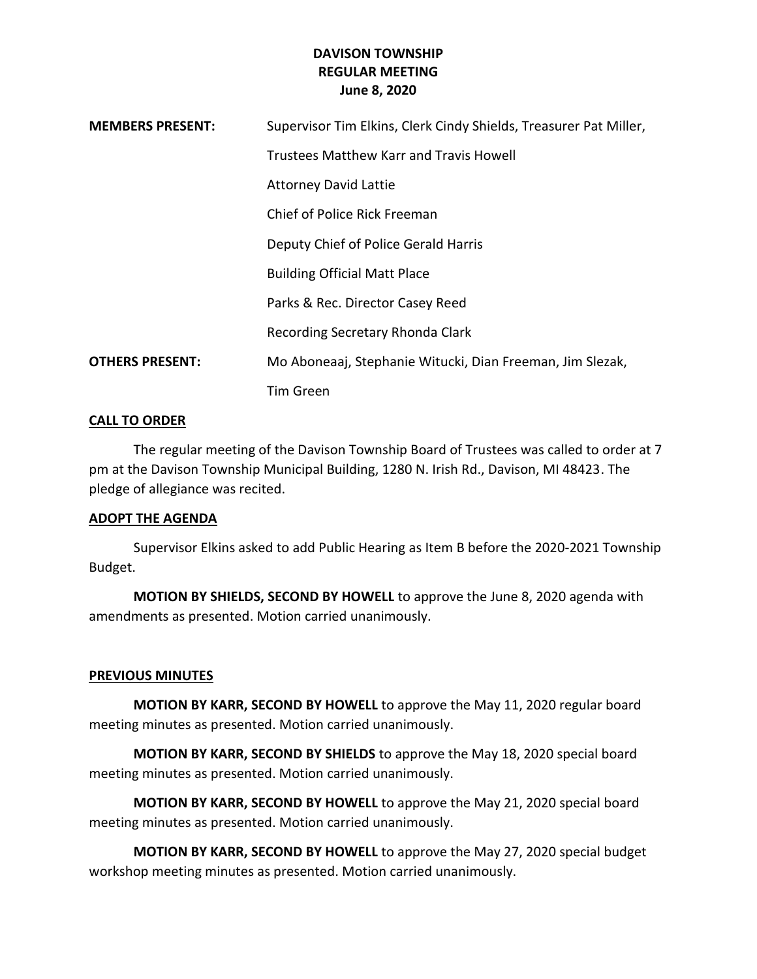| <b>MEMBERS PRESENT:</b> | Supervisor Tim Elkins, Clerk Cindy Shields, Treasurer Pat Miller, |
|-------------------------|-------------------------------------------------------------------|
|                         | Trustees Matthew Karr and Travis Howell                           |
|                         | <b>Attorney David Lattie</b>                                      |
|                         | Chief of Police Rick Freeman                                      |
|                         | Deputy Chief of Police Gerald Harris                              |
|                         | <b>Building Official Matt Place</b>                               |
|                         | Parks & Rec. Director Casey Reed                                  |
|                         | Recording Secretary Rhonda Clark                                  |
| <b>OTHERS PRESENT:</b>  | Mo Aboneaaj, Stephanie Witucki, Dian Freeman, Jim Slezak,         |
|                         | <b>Tim Green</b>                                                  |

#### **CALL TO ORDER**

The regular meeting of the Davison Township Board of Trustees was called to order at 7 pm at the Davison Township Municipal Building, 1280 N. Irish Rd., Davison, MI 48423. The pledge of allegiance was recited.

#### **ADOPT THE AGENDA**

Supervisor Elkins asked to add Public Hearing as Item B before the 2020-2021 Township Budget.

**MOTION BY SHIELDS, SECOND BY HOWELL** to approve the June 8, 2020 agenda with amendments as presented. Motion carried unanimously.

## **PREVIOUS MINUTES**

**MOTION BY KARR, SECOND BY HOWELL** to approve the May 11, 2020 regular board meeting minutes as presented. Motion carried unanimously.

**MOTION BY KARR, SECOND BY SHIELDS** to approve the May 18, 2020 special board meeting minutes as presented. Motion carried unanimously.

**MOTION BY KARR, SECOND BY HOWELL** to approve the May 21, 2020 special board meeting minutes as presented. Motion carried unanimously.

**MOTION BY KARR, SECOND BY HOWELL** to approve the May 27, 2020 special budget workshop meeting minutes as presented. Motion carried unanimously.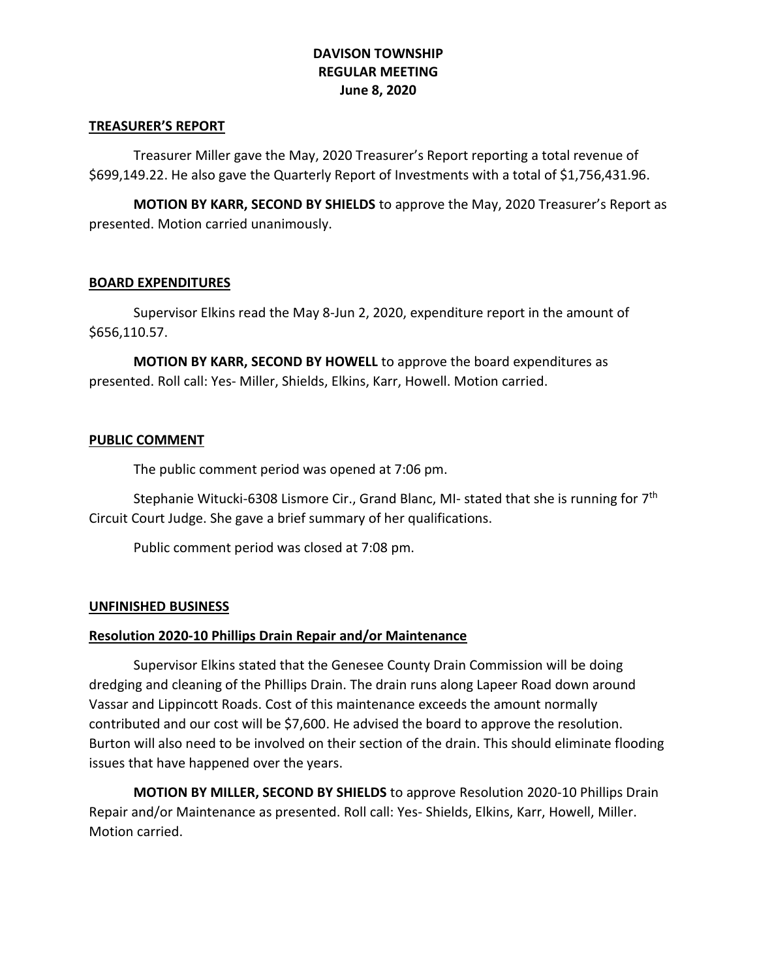#### **TREASURER'S REPORT**

Treasurer Miller gave the May, 2020 Treasurer's Report reporting a total revenue of \$699,149.22. He also gave the Quarterly Report of Investments with a total of \$1,756,431.96.

**MOTION BY KARR, SECOND BY SHIELDS** to approve the May, 2020 Treasurer's Report as presented. Motion carried unanimously.

## **BOARD EXPENDITURES**

Supervisor Elkins read the May 8-Jun 2, 2020, expenditure report in the amount of \$656,110.57.

**MOTION BY KARR, SECOND BY HOWELL** to approve the board expenditures as presented. Roll call: Yes- Miller, Shields, Elkins, Karr, Howell. Motion carried.

## **PUBLIC COMMENT**

The public comment period was opened at 7:06 pm.

Stephanie Witucki-6308 Lismore Cir., Grand Blanc, MI- stated that she is running for  $7<sup>th</sup>$ Circuit Court Judge. She gave a brief summary of her qualifications.

Public comment period was closed at 7:08 pm.

#### **UNFINISHED BUSINESS**

## **Resolution 2020-10 Phillips Drain Repair and/or Maintenance**

Supervisor Elkins stated that the Genesee County Drain Commission will be doing dredging and cleaning of the Phillips Drain. The drain runs along Lapeer Road down around Vassar and Lippincott Roads. Cost of this maintenance exceeds the amount normally contributed and our cost will be \$7,600. He advised the board to approve the resolution. Burton will also need to be involved on their section of the drain. This should eliminate flooding issues that have happened over the years.

**MOTION BY MILLER, SECOND BY SHIELDS** to approve Resolution 2020-10 Phillips Drain Repair and/or Maintenance as presented. Roll call: Yes- Shields, Elkins, Karr, Howell, Miller. Motion carried.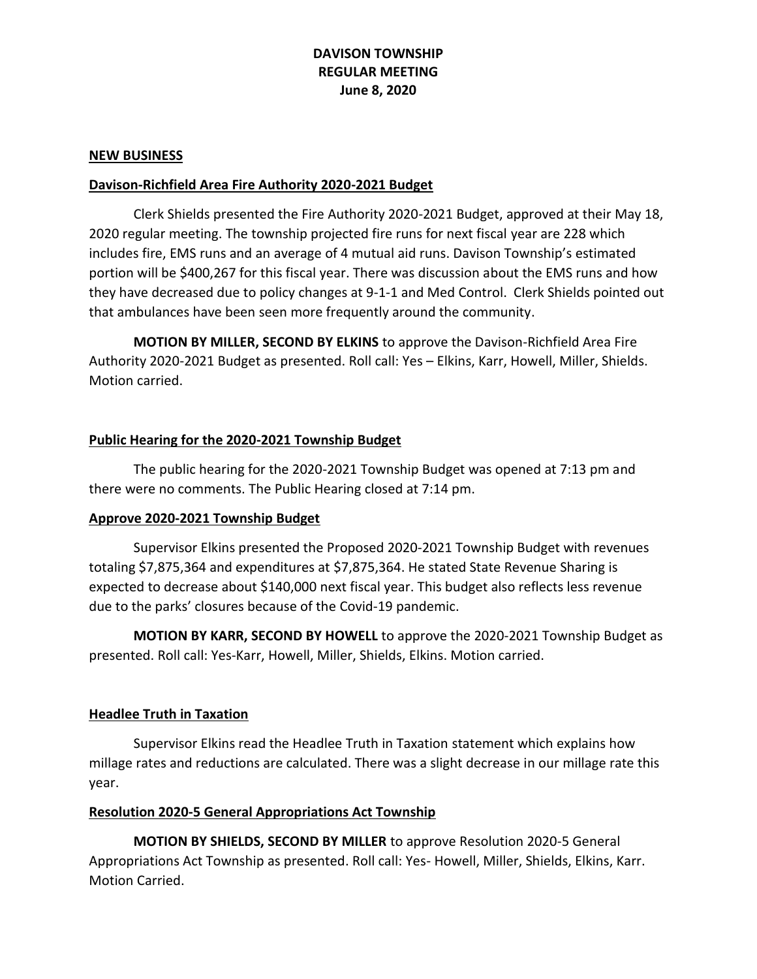#### **NEW BUSINESS**

#### **Davison-Richfield Area Fire Authority 2020-2021 Budget**

Clerk Shields presented the Fire Authority 2020-2021 Budget, approved at their May 18, 2020 regular meeting. The township projected fire runs for next fiscal year are 228 which includes fire, EMS runs and an average of 4 mutual aid runs. Davison Township's estimated portion will be \$400,267 for this fiscal year. There was discussion about the EMS runs and how they have decreased due to policy changes at 9-1-1 and Med Control. Clerk Shields pointed out that ambulances have been seen more frequently around the community.

**MOTION BY MILLER, SECOND BY ELKINS** to approve the Davison-Richfield Area Fire Authority 2020-2021 Budget as presented. Roll call: Yes – Elkins, Karr, Howell, Miller, Shields. Motion carried.

#### **Public Hearing for the 2020-2021 Township Budget**

The public hearing for the 2020-2021 Township Budget was opened at 7:13 pm and there were no comments. The Public Hearing closed at 7:14 pm.

#### **Approve 2020-2021 Township Budget**

Supervisor Elkins presented the Proposed 2020-2021 Township Budget with revenues totaling \$7,875,364 and expenditures at \$7,875,364. He stated State Revenue Sharing is expected to decrease about \$140,000 next fiscal year. This budget also reflects less revenue due to the parks' closures because of the Covid-19 pandemic.

**MOTION BY KARR, SECOND BY HOWELL** to approve the 2020-2021 Township Budget as presented. Roll call: Yes-Karr, Howell, Miller, Shields, Elkins. Motion carried.

## **Headlee Truth in Taxation**

Supervisor Elkins read the Headlee Truth in Taxation statement which explains how millage rates and reductions are calculated. There was a slight decrease in our millage rate this year.

## **Resolution 2020-5 General Appropriations Act Township**

**MOTION BY SHIELDS, SECOND BY MILLER** to approve Resolution 2020-5 General Appropriations Act Township as presented. Roll call: Yes- Howell, Miller, Shields, Elkins, Karr. Motion Carried.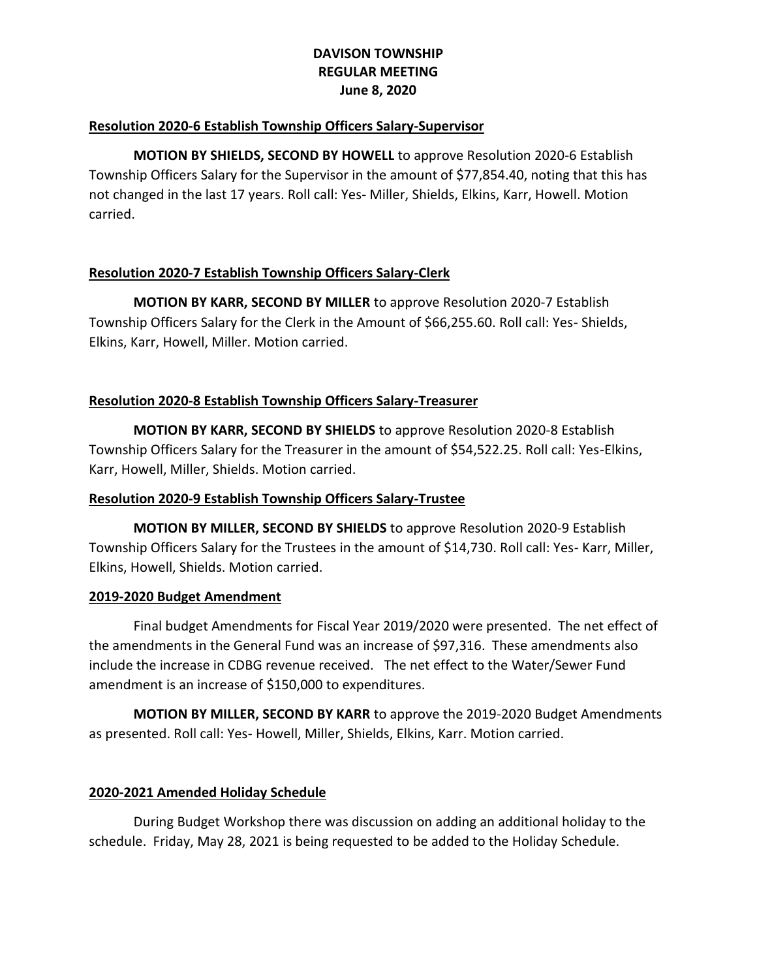## **Resolution 2020-6 Establish Township Officers Salary-Supervisor**

**MOTION BY SHIELDS, SECOND BY HOWELL** to approve Resolution 2020-6 Establish Township Officers Salary for the Supervisor in the amount of \$77,854.40, noting that this has not changed in the last 17 years. Roll call: Yes- Miller, Shields, Elkins, Karr, Howell. Motion carried.

# **Resolution 2020-7 Establish Township Officers Salary-Clerk**

**MOTION BY KARR, SECOND BY MILLER** to approve Resolution 2020-7 Establish Township Officers Salary for the Clerk in the Amount of \$66,255.60. Roll call: Yes- Shields, Elkins, Karr, Howell, Miller. Motion carried.

# **Resolution 2020-8 Establish Township Officers Salary-Treasurer**

**MOTION BY KARR, SECOND BY SHIELDS** to approve Resolution 2020-8 Establish Township Officers Salary for the Treasurer in the amount of \$54,522.25. Roll call: Yes-Elkins, Karr, Howell, Miller, Shields. Motion carried.

## **Resolution 2020-9 Establish Township Officers Salary-Trustee**

**MOTION BY MILLER, SECOND BY SHIELDS** to approve Resolution 2020-9 Establish Township Officers Salary for the Trustees in the amount of \$14,730. Roll call: Yes- Karr, Miller, Elkins, Howell, Shields. Motion carried.

## **2019-2020 Budget Amendment**

Final budget Amendments for Fiscal Year 2019/2020 were presented. The net effect of the amendments in the General Fund was an increase of \$97,316. These amendments also include the increase in CDBG revenue received. The net effect to the Water/Sewer Fund amendment is an increase of \$150,000 to expenditures.

**MOTION BY MILLER, SECOND BY KARR** to approve the 2019-2020 Budget Amendments as presented. Roll call: Yes- Howell, Miller, Shields, Elkins, Karr. Motion carried.

## **2020-2021 Amended Holiday Schedule**

During Budget Workshop there was discussion on adding an additional holiday to the schedule. Friday, May 28, 2021 is being requested to be added to the Holiday Schedule.